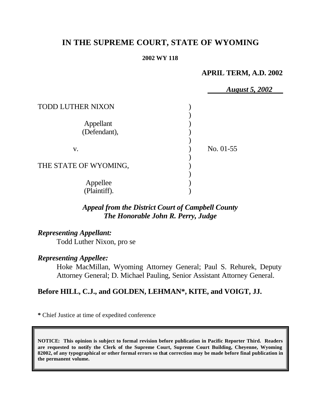# **IN THE SUPREME COURT, STATE OF WYOMING**

#### **2002 WY 118**

## **APRIL TERM, A.D. 2002**

|                          | <b>August 5, 2002</b> |
|--------------------------|-----------------------|
| <b>TODD LUTHER NIXON</b> |                       |
|                          |                       |
| Appellant                |                       |
| (Defendant),             |                       |
|                          |                       |
| V.                       | No. $01-55$           |
|                          |                       |
| THE STATE OF WYOMING,    |                       |
|                          |                       |
| Appellee                 |                       |
| (Plaintiff).             |                       |

# *Appeal from the District Court of Campbell County The Honorable John R. Perry, Judge*

# *Representing Appellant:*

Todd Luther Nixon, pro se

## *Representing Appellee:*

Hoke MacMillan, Wyoming Attorney General; Paul S. Rehurek, Deputy Attorney General; D. Michael Pauling, Senior Assistant Attorney General.

# **Before HILL, C.J., and GOLDEN, LEHMAN\*, KITE, and VOIGT, JJ.**

**\*** Chief Justice at time of expedited conference

**NOTICE: This opinion is subject to formal revision before publication in Pacific Reporter Third. Readers are requested to notify the Clerk of the Supreme Court, Supreme Court Building, Cheyenne, Wyoming 82002, of any typographical or other formal errors so that correction may be made before final publication in the permanent volume.**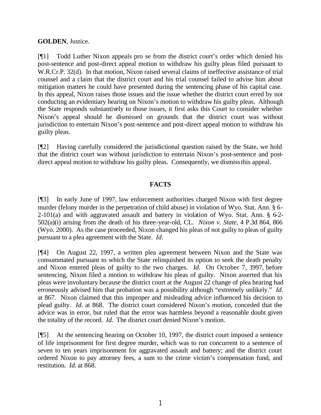#### **GOLDEN**, Justice.

[¶1] Todd Luther Nixon appeals pro se from the district court's order which denied his post-sentence and post-direct appeal motion to withdraw his guilty pleas filed pursuant to W.R.Cr.P. 32(d). In that motion, Nixon raised several claims of ineffective assistance of trial counsel and a claim that the district court and his trial counsel failed to advise him about mitigation matters he could have presented during the sentencing phase of his capital case. In this appeal, Nixon raises those issues and the issue whether the district court erred by not conducting an evidentiary hearing on Nixon's motion to withdraw his guilty pleas. Although the State responds substantively to those issues, it first asks this Court to consider whether Nixon's appeal should be dismissed on grounds that the district court was without jurisdiction to entertain Nixon's post-sentence and post-direct appeal motion to withdraw his guilty pleas.

[¶2] Having carefully considered the jurisdictional question raised by the State, we hold that the district court was without jurisdiction to entertain Nixon's post-sentence and postdirect appeal motion to withdraw his guilty pleas. Consequently, we dismiss this appeal.

#### **FACTS**

[¶3] In early June of 1997, law enforcement authorities charged Nixon with first degree murder (felony murder in the perpetration of child abuse) in violation of Wyo. Stat. Ann. § 6- 2-101(a) and with aggravated assault and battery in violation of Wyo. Stat. Ann. § 6-2- 502(a)(i) arising from the death of his three-year-old, CL. *Nixon v. State*, 4 P.3d 864, 866 (Wyo. 2000). As the case proceeded, Nixon changed his pleas of not guilty to pleas of guilty pursuant to a plea agreement with the State. *Id.*

[¶4] On August 22, 1997, a written plea agreement between Nixon and the State was consummated pursuant to which the State relinquished its option to seek the death penalty and Nixon entered pleas of guilty to the two charges. *Id.* On October 7, 1997, before sentencing, Nixon filed a motion to withdraw his pleas of guilty. Nixon asserted that his pleas were involuntary because the district court at the August 22 change of plea hearing had erroneously advised him that probation was a possibility although "extremely unlikely." *Id.* at 867. Nixon claimed that this improper and misleading advice influenced his decision to plead guilty. *Id.* at 868. The district court considered Nixon's motion, conceded that the advice was in error, but ruled that the error was harmless beyond a reasonable doubt given the totality of the record. *Id.* The district court denied Nixon's motion.

[¶5] At the sentencing hearing on October 10, 1997, the district court imposed a sentence of life imprisonment for first degree murder, which was to run concurrent to a sentence of seven to ten years imprisonment for aggravated assault and battery; and the district court ordered Nixon to pay attorney fees, a sum to the crime victim's compensation fund, and restitution. *Id.* at 868.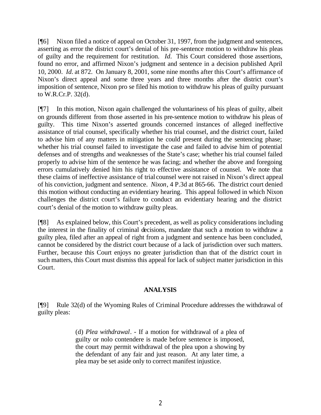[¶6] Nixon filed a notice of appeal on October 31, 1997, from the judgment and sentences, asserting as error the district court's denial of his pre-sentence motion to withdraw his pleas of guilty and the requirement for restitution. *Id.* This Court considered those assertions, found no error, and affirmed Nixon's judgment and sentence in a decision published April 10, 2000. *Id.* at 872. On January 8, 2001, some nine months after this Court's affirmance of Nixon's direct appeal and some three years and three months after the district court's imposition of sentence, Nixon pro se filed his motion to withdraw his pleas of guilty pursuant to W.R.Cr.P. 32(d).

[¶7] In this motion, Nixon again challenged the voluntariness of his pleas of guilty, albeit on grounds different from those asserted in his pre-sentence motion to withdraw his pleas of guilty. This time Nixon's asserted grounds concerned instances of alleged ineffective assistance of trial counsel, specifically whether his trial counsel, and the district court, failed to advise him of any matters in mitigation he could present during the sentencing phase; whether his trial counsel failed to investigate the case and failed to advise him of potential defenses and of strengths and weaknesses of the State's case; whether his trial counsel failed properly to advise him of the sentence he was facing; and whether the above and foregoing errors cumulatively denied him his right to effective assistance of counsel. We note that these claims of ineffective assistance of trial counsel were not raised in Nixon's direct appeal of his conviction, judgment and sentence. *Nixon*, 4 P.3d at 865-66. The district court denied this motion without conducting an evidentiary hearing. This appeal followed in which Nixon challenges the district court's failure to conduct an evidentiary hearing and the district court's denial of the motion to withdraw guilty pleas.

[¶8] As explained below, this Court's precedent, as well as policy considerations including the interest in the finality of criminal decisions, mandate that such a motion to withdraw a guilty plea, filed after an appeal of right from a judgment and sentence has been concluded, cannot be considered by the district court because of a lack of jurisdiction over such matters. Further, because this Court enjoys no greater jurisdiction than that of the district court in such matters, this Court must dismiss this appeal for lack of subject matter jurisdiction in this Court.

## **ANALYSIS**

[¶9] Rule 32(d) of the Wyoming Rules of Criminal Procedure addresses the withdrawal of guilty pleas:

> (d) *Plea withdrawal*. - If a motion for withdrawal of a plea of guilty or nolo contendere is made before sentence is imposed, the court may permit withdrawal of the plea upon a showing by the defendant of any fair and just reason. At any later time, a plea may be set aside only to correct manifest injustice.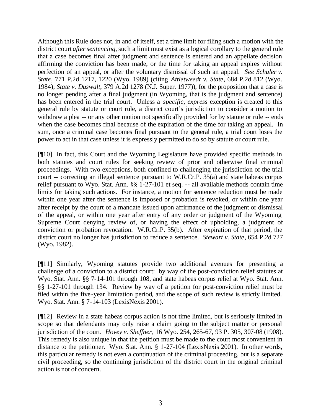Although this Rule does not, in and of itself, set a time limit for filing such a motion with the district court *after sentencing,* such a limit must exist as a logical corollary to the general rule that a case becomes final after judgment and sentence is entered and an appellate decision affirming the conviction has been made, or the time for taking an appeal expires without perfection of an appeal, or after the voluntary dismissal of such an appeal. *See Schuler v. State*, 771 P.2d 1217, 1220 (Wyo. 1989) (citing *Attletweedt v. State*, 684 P.2d 812 (Wyo. 1984); *State v. Duswalt*, 379 A.2d 1278 (N.J. Super. 1977)), for the proposition that a case is no longer pending after a final judgment (in Wyoming, that is the judgment and sentence) has been entered in the trial court. Unless a *specific, express* exception is created to this general rule by statute or court rule, a district court's jurisdiction to consider a motion to withdraw a plea -- or any other motion not specifically provided for by statute or rule -- ends when the case becomes final because of the expiration of the time for taking an appeal. In sum, once a criminal case becomes final pursuant to the general rule, a trial court loses the power to act in that case unless it is expressly permitted to do so by statute or court rule.

[¶10] In fact, this Court and the Wyoming Legislature have provided specific methods in both statutes and court rules for seeking review of prior and otherwise final criminal proceedings. With two exceptions, both confined to challenging the jurisdiction of the trial court -- correcting an illegal sentence pursuant to W.R.Cr.P. 35(a) and state habeas corpus relief pursuant to Wyo. Stat. Ann. §§ 1-27-101 et seq. -- all available methods contain time limits for taking such actions. For instance, a motion for sentence reduction must be made within one year after the sentence is imposed or probation is revoked, or within one year after receipt by the court of a mandate issued upon affirmance of the judgment or dismissal of the appeal, or within one year after entry of any order or judgment of the Wyoming Supreme Court denying review of, or having the effect of upholding, a judgment of conviction or probation revocation. W.R.Cr.P. 35(b). After expiration of that period, the district court no longer has jurisdiction to reduce a sentence. *Stewart v. State*, 654 P.2d 727 (Wyo. 1982).

[¶11] Similarly, Wyoming statutes provide two additional avenues for presenting a challenge of a conviction to a district court: by way of the post-conviction relief statutes at Wyo. Stat. Ann. §§ 7-14-101 through 108, and state habeas corpus relief at Wyo. Stat. Ann. §§ 1-27-101 through 134. Review by way of a petition for post-conviction relief must be filed within the five-year limitation period, and the scope of such review is strictly limited. Wyo. Stat. Ann. § 7-14-103 (LexisNexis 2001).

[¶12] Review in a state habeas corpus action is not time limited, but is seriously limited in scope so that defendants may only raise a claim going to the subject matter or personal jurisdiction of the court. *Hovey v. Sheffner*, 16 Wyo. 254, 265-67, 93 P. 305, 307-08 (1908). This remedy is also unique in that the petition must be made to the court most convenient in distance to the petitioner. Wyo. Stat. Ann. § 1-27-104 (LexisNexis 2001). In other words, this particular remedy is not even a continuation of the criminal proceeding, but is a separate civil proceeding, so the continuing jurisdiction of the district court in the original criminal action is not of concern.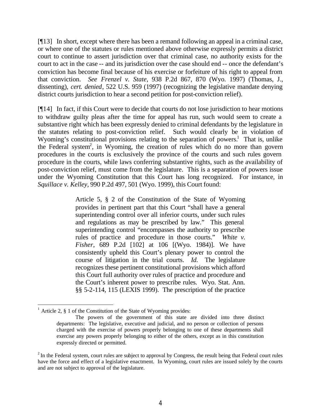[¶13] In short, except where there has been a remand following an appeal in a criminal case, or where one of the statutes or rules mentioned above otherwise expressly permits a district court to continue to assert jurisdiction over that criminal case, no authority exists for the court to act in the case -- and its jurisdiction over the case should end -- once the defendant's conviction has become final because of his exercise or forfeiture of his right to appeal from that conviction. *See Frenzel v. State*, 938 P.2d 867, 870 (Wyo. 1997) (Thomas, J., dissenting), *cert. denied*, 522 U.S. 959 (1997) (recognizing the legislative mandate denying district courts jurisdiction to hear a second petition for post-conviction relief).

[¶14] In fact, if this Court were to decide that courts do not lose jurisdiction to hear motions to withdraw guilty pleas after the time for appeal has run, such would seem to create a substantive right which has been expressly denied to criminal defendants by the legislature in the statutes relating to post-conviction relief. Such would clearly be in violation of Wyoming's constitutional provisions relating to the separation of powers.<sup>1</sup> That is, unlike the Federal system<sup>2</sup>, in Wyoming, the creation of rules which do no more than govern procedures in the courts is exclusively the province of the courts and such rules govern procedure in the courts, while laws conferring substantive rights, such as the availability of post-conviction relief, must come from the legislature. This is a separation of powers issue under the Wyoming Constitution that this Court has long recognized. For instance, in *Squillace v. Kelley*, 990 P.2d 497, 501 (Wyo. 1999), this Court found:

> Article 5, § 2 of the Constitution of the State of Wyoming provides in pertinent part that this Court "shall have a general superintending control over all inferior courts, under such rules and regulations as may be prescribed by law." This general superintending control "encompasses the authority to prescribe rules of practice and procedure in those courts." *White v. Fisher*, 689 P.2d [102] at 106 [(Wyo. 1984)]. We have consistently upheld this Court's plenary power to control the course of litigation in the trial courts. *Id.* The legislature recognizes these pertinent constitutional provisions which afford this Court full authority over rules of practice and procedure and the Court's inherent power to prescribe rules. Wyo. Stat. Ann. §§ 5-2-114, 115 (LEXIS 1999). The prescription of the practice

<sup>&</sup>lt;sup>1</sup> Article 2,  $\S$  1 of the Constitution of the State of Wyoming provides:

The powers of the government of this state are divided into three distinct departments: The legislative, executive and judicial, and no person or collection of persons charged with the exercise of powers properly belonging to one of these departments shall exercise any powers properly belonging to either of the others, except as in this constitution expressly directed or permitted.

 $2$ In the Federal system, court rules are subject to approval by Congress, the result being that Federal court rules have the force and effect of a legislative enactment. In Wyoming, court rules are issued solely by the courts and are not subject to approval of the legislature.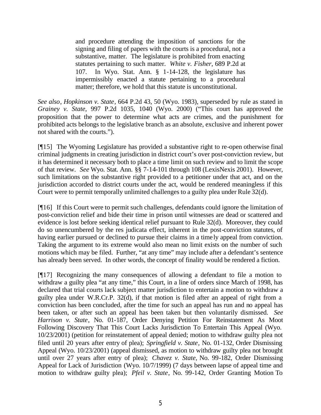and procedure attending the imposition of sanctions for the signing and filing of papers with the courts is a procedural, not a substantive, matter. The legislature is prohibited from enacting statutes pertaining to such matter. *White v. Fisher*, 689 P.2d at 107. In Wyo. Stat. Ann. § 1-14-128, the legislature has impermissibly enacted a statute pertaining to a procedural matter; therefore, we hold that this statute is unconstitutional.

*See also*, *Hopkinson v. State*, 664 P.2d 43, 50 (Wyo. 1983), superseded by rule as stated in *Grainey v. State*, 997 P.2d 1035, 1040 (Wyo. 2000) ("This court has approved the proposition that the power to determine what acts are crimes, and the punishment for prohibited acts belongs to the legislative branch as an absolute, exclusive and inherent power not shared with the courts.").

[¶15] The Wyoming Legislature has provided a substantive right to re-open otherwise final criminal judgments in creating jurisdiction in district court's over post-conviction review, but it has determined it necessary both to place a time limit on such review and to limit the scope of that review. *See* Wyo. Stat. Ann. §§ 7-14-101 through 108 (LexisNexis 2001). However, such limitations on the substantive right provided to a petitioner under that act, and on the jurisdiction accorded to district courts under the act, would be rendered meaningless if this Court were to permit temporally unlimited challenges to a guilty plea under Rule 32(d).

[¶16] If this Court were to permit such challenges, defendants could ignore the limitation of post-conviction relief and bide their time in prison until witnesses are dead or scattered and evidence is lost before seeking identical relief pursuant to Rule 32(d). Moreover, they could do so unencumbered by the res judicata effect, inherent in the post-conviction statutes, of having earlier pursued or declined to pursue their claims in a timely appeal from conviction. Taking the argument to its extreme would also mean no limit exists on the number of such motions which may be filed. Further, "at any time" may include after a defendant's sentence has already been served. In other words, the concept of finality would be rendered a fiction.

[¶17] Recognizing the many consequences of allowing a defendant to file a motion to withdraw a guilty plea "at any time," this Court, in a line of orders since March of 1998, has declared that trial courts lack subject matter jurisdiction to entertain a motion to withdraw a guilty plea under W.R.Cr.P. 32(d), if that motion is filed after an appeal of right from a conviction has been concluded, after the time for such an appeal has run and no appeal has been taken, or after such an appeal has been taken but then voluntarily dismissed. *See Harrison v. State*, No. 01-187, Order Denying Petition For Reinstatement As Moot Following Discovery That This Court Lacks Jurisdiction To Entertain This Appeal (Wyo. 10/23/2001) (petition for reinstatement of appeal denied; motion to withdraw guilty plea not filed until 20 years after entry of plea); *Springfield v. State*, No. 01-132, Order Dismissing Appeal (Wyo. 10/23/2001) (appeal dismissed, as motion to withdraw guilty plea not brought until over 27 years after entry of plea); *Chavez v. State,* No. 99-182, Order Dismissing Appeal for Lack of Jurisdiction (Wyo. 10/7/1999) (7 days between lapse of appeal time and motion to withdraw guilty plea); *Pfeil v. State*, No. 99-142, Order Granting Motion To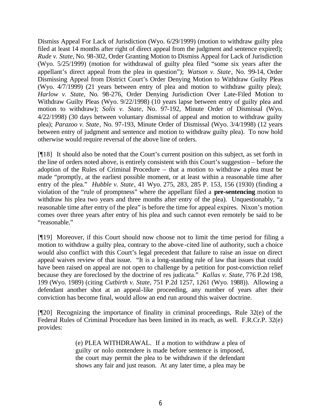Dismiss Appeal For Lack of Jurisdiction (Wyo. 6/29/1999) (motion to withdraw guilty plea filed at least 14 months after right of direct appeal from the judgment and sentence expired); *Rude v. State*, No. 98-302, Order Granting Motion to Dismiss Appeal for Lack of Jurisdiction (Wyo. 5/25/1999) (motion for withdrawal of guilty plea filed "some six years after the appellant's direct appeal from the plea in question"); *Watson v. State*, No. 99-14, Order Dismissing Appeal from District Court's Order Denying Motion to Withdraw Guilty Pleas (Wyo. 4/7/1999) (21 years between entry of plea and motion to withdraw guilty plea); *Harlow v. State*, No. 98-276, Order Denying Jurisdiction Over Late-Filed Motion to Withdraw Guilty Pleas (Wyo. 9/22/1998) (10 years lapse between entry of guilty plea and motion to withdraw); *Solis v. State*, No. 97-192, Minute Order of Dismissal (Wyo. 4/22/1998) (30 days between voluntary dismissal of appeal and motion to withdraw guilty plea); *Parazoo v. State*, No. 97-193, Minute Order of Dismissal (Wyo. 3/4/1998) (12 years between entry of judgment and sentence and motion to withdraw guilty plea). To now hold otherwise would require reversal of the above line of orders.

[¶18] It should also be noted that the Court's current position on this subject, as set forth in the line of orders noted above, is entirely consistent with this Court's suggestion – before the adoption of the Rules of Criminal Procedure – that a motion to withdraw a plea must be made "promptly, at the earliest possible moment, or at least within a reasonable time after entry of the plea." *Hubble v. State*, 41 Wyo. 275, 283, 285 P. 153, 156 (1930) (finding a violation of the "rule of promptness" where the appellant filed a **pre-sentencing** motion to withdraw his plea two years and three months after entry of the plea). Unquestionably, "a reasonable time after entry of the plea" is before the time for appeal expires. Nixon's motion comes over three years after entry of his plea and such cannot even remotely be said to be "reasonable."

[¶19] Moreover, if this Court should now choose not to limit the time period for filing a motion to withdraw a guilty plea, contrary to the above-cited line of authority, such a choice would also conflict with this Court's legal precedent that failure to raise an issue on direct appeal waives review of that issue. "It is a long-standing rule of law that issues that could have been raised on appeal are not open to challenge by a petition for post-conviction relief because they are foreclosed by the doctrine of res judicata." *Kallas v. State*, 776 P.2d 198, 199 (Wyo. 1989) (citing *Cutbirth v. State*, 751 P.2d 1257, 1261 (Wyo. 1988)). Allowing a defendant another shot at an appeal-like proceeding, any number of years after their conviction has become final, would allow an end run around this waiver doctrine.

[¶20] Recognizing the importance of finality in criminal proceedings, Rule 32(e) of the Federal Rules of Criminal Procedure has been limited in its reach, as well. F.R.Cr.P. 32(e) provides:

> (e) PLEA WITHDRAWAL. If a motion to withdraw a plea of guilty or nolo contendere is made before sentence is imposed, the court may permit the plea to be withdrawn if the defendant shows any fair and just reason. At any later time, a plea may be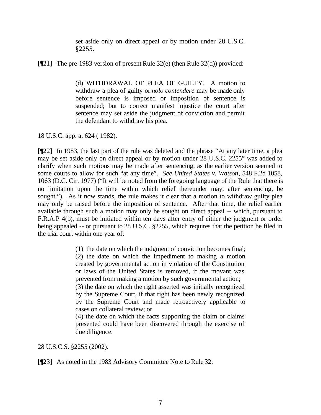set aside only on direct appeal or by motion under 28 U.S.C. §2255.

[¶21] The pre-1983 version of present Rule 32(e) (then Rule 32(d)) provided:

(d) WITHDRAWAL OF PLEA OF GUILTY. A motion to withdraw a plea of guilty or *nolo contendere* may be made only before sentence is imposed or imposition of sentence is suspended; but to correct manifest injustice the court after sentence may set aside the judgment of conviction and permit the defendant to withdraw his plea.

18 U.S.C. app. at 624 ( 1982).

[¶22] In 1983, the last part of the rule was deleted and the phrase "At any later time, a plea may be set aside only on direct appeal or by motion under 28 U.S.C. 2255" was added to clarify when such motions may be made after sentencing, as the earlier version seemed to some courts to allow for such "at any time". *See United States v. Watson*, 548 F.2d 1058, 1063 (D.C. Cir. 1977) ("It will be noted from the foregoing language of the Rule that there is no limitation upon the time within which relief thereunder may, after sentencing, be sought."). As it now stands, the rule makes it clear that a motion to withdraw guilty plea may only be raised before the imposition of sentence. After that time, the relief earlier available through such a motion may only be sought on direct appeal -- which, pursuant to F.R.A.P 4(b), must be initiated within ten days after entry of either the judgment or order being appealed -- or pursuant to 28 U.S.C. §2255, which requires that the petition be filed in the trial court within one year of:

> (1) the date on which the judgment of conviction becomes final; (2) the date on which the impediment to making a motion created by governmental action in violation of the Constitution or laws of the United States is removed, if the movant was prevented from making a motion by such governmental action; (3) the date on which the right asserted was initially recognized by the Supreme Court, if that right has been newly recognized by the Supreme Court and made retroactively applicable to cases on collateral review; or

> (4) the date on which the facts supporting the claim or claims presented could have been discovered through the exercise of due diligence.

28 U.S.C.S. §2255 (2002).

[¶23] As noted in the 1983 Advisory Committee Note to Rule 32: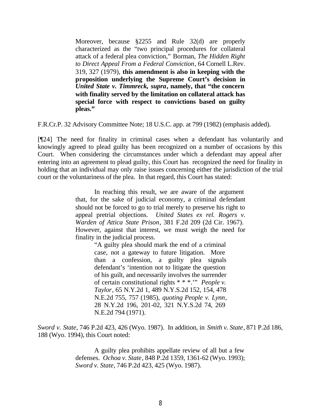Moreover, because §2255 and Rule 32(d) are properly characterized as the "two principal procedures for collateral attack of a federal plea conviction," Borman, *The Hidden Right to Direct Appeal From a Federal Conviction*, 64 Cornell L.Rev. 319, 327 (1979), **this amendment is also in keeping with the proposition underlying the Supreme Court's decision in** *United State v. Timmreck, supra***, namely, that "the concern with finality served by the limitation on collateral attack has special force with respect to convictions based on guilty pleas."**

F.R.Cr.P. 32 Advisory Committee Note; 18 U.S.C. app. at 799 (1982) (emphasis added).

[¶24] The need for finality in criminal cases when a defendant has voluntarily and knowingly agreed to plead guilty has been recognized on a number of occasions by this Court. When considering the circumstances under which a defendant may appeal after entering into an agreement to plead guilty, this Court has recognized the need for finality in holding that an individual may only raise issues concerning either the jurisdiction of the trial court or the voluntariness of the plea. In that regard, this Court has stated:

> In reaching this result, we are aware of the argument that, for the sake of judicial economy, a criminal defendant should not be forced to go to trial merely to preserve his right to appeal pretrial objections. *United States ex rel. Rogers v. Warden of Attica State Prison*, 381 F.2d 209 (2d Cir. 1967). However, against that interest, we must weigh the need for finality in the judicial process.

> > "A guilty plea should mark the end of a criminal case, not a gateway to future litigation. More than a confession, a guilty plea signals defendant's 'intention not to litigate the question of his guilt, and necessarily involves the surrender of certain constitutional rights \* \* \*.'" *People v. Taylor*, 65 N.Y.2d 1, 489 N.Y.S.2d 152, 154, 478 N.E.2d 755, 757 (1985), *quoting People v. Lynn*, 28 N.Y.2d 196, 201-02, 321 N.Y.S.2d 74, 269 N.E.2d 794 (1971).

*Sword v. State*, 746 P.2d 423, 426 (Wyo. 1987). In addition, in *Smith v. State*, 871 P.2d 186, 188 (Wyo. 1994), this Court noted:

> A guilty plea prohibits appellate review of all but a few defenses. *Ochoa v. State*, 848 P.2d 1359, 1361-62 (Wyo. 1993); *Sword v. State*, 746 P.2d 423, 425 (Wyo. 1987).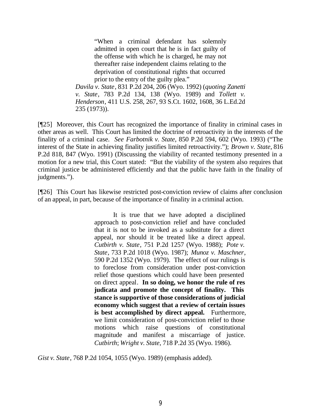"When a criminal defendant has solemnly admitted in open court that he is in fact guilty of the offense with which he is charged, he may not thereafter raise independent claims relating to the deprivation of constitutional rights that occurred prior to the entry of the guilty plea."

*Davila v. State*, 831 P.2d 204, 206 (Wyo. 1992) (*quoting Zanetti v. State*, 783 P.2d 134, 138 (Wyo. 1989) and *Tollett v. Henderson*, 411 U.S. 258, 267, 93 S.Ct. 1602, 1608, 36 L.Ed.2d 235 (1973)).

[¶25] Moreover, this Court has recognized the importance of finality in criminal cases in other areas as well. This Court has limited the doctrine of retroactivity in the interests of the finality of a criminal case. *See Farbotnik v. State*, 850 P.2d 594, 602 (Wyo. 1993) ("The interest of the State in achieving finality justifies limited retroactivity."); *Brown v. State*, 816 P.2d 818, 847 (Wyo. 1991) (Discussing the viability of recanted testimony presented in a motion for a new trial, this Court stated: "But the viability of the system also requires that criminal justice be administered efficiently and that the public have faith in the finality of judgments.").

[¶26] This Court has likewise restricted post-conviction review of claims after conclusion of an appeal, in part, because of the importance of finality in a criminal action.

> It is true that we have adopted a disciplined approach to post-conviction relief and have concluded that it is not to be invoked as a substitute for a direct appeal, nor should it be treated like a direct appeal. *Cutbirth v. State*, 751 P.2d 1257 (Wyo. 1988); *Pote v. State*, 733 P.2d 1018 (Wyo. 1987); *Munoz v. Maschner*, 590 P.2d 1352 (Wyo. 1979). The effect of our rulings is to foreclose from consideration under post-conviction relief those questions which could have been presented on direct appeal. **In so doing, we honor the rule of res judicata and promote the concept of finality. This stance is supportive of those considerations of judicial economy which suggest that a review of certain issues is best accomplished by direct appeal.** Furthermore, we limit consideration of post-conviction relief to those motions which raise questions of constitutional magnitude and manifest a miscarriage of justice. *Cutbirth*; *Wright v. State*, 718 P.2d 35 (Wyo. 1986).

*Gist v. State*, 768 P.2d 1054, 1055 (Wyo. 1989) (emphasis added).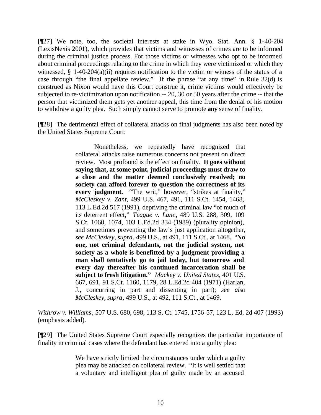[¶27] We note, too, the societal interests at stake in Wyo. Stat. Ann. § 1-40-204 (LexisNexis 2001), which provides that victims and witnesses of crimes are to be informed during the criminal justice process. For those victims or witnesses who opt to be informed about criminal proceedings relating to the crime in which they were victimized or which they witnessed, § 1-40-204(a)(ii) requires notification to the victim or witness of the status of a case through "the final appellate review." If the phrase "at any time" in Rule 32(d) is construed as Nixon would have this Court construe it, crime victims would effectively be subjected to re-victimization upon notification -- 20, 30 or 50 years after the crime -- that the person that victimized them gets yet another appeal, this time from the denial of his motion to withdraw a guilty plea. Such simply cannot serve to promote **any** sense of finality.

[¶28] The detrimental effect of collateral attacks on final judgments has also been noted by the United States Supreme Court:

> Nonetheless, we repeatedly have recognized that collateral attacks raise numerous concerns not present on direct review. Most profound is the effect on finality. **It goes without saying that, at some point, judicial proceedings must draw to a close and the matter deemed conclusively resolved; no society can afford forever to question the correctness of its every judgment.** "The writ," however, "strikes at finality," *McCleskey v. Zant*, 499 U.S. 467, 491, 111 S.Ct. 1454, 1468, 113 L.Ed.2d 517 (1991), depriving the criminal law "of much of its deterrent effect," *Teague v. Lane*, 489 U.S. 288, 309, 109 S.Ct. 1060, 1074, 103 L.Ed.2d 334 (1989) (plurality opinion), and sometimes preventing the law's just application altogether, *see McCleskey, supra*, 499 U.S., at 491, 111 S.Ct., at 1468. "**No one, not criminal defendants, not the judicial system, not society as a whole is benefitted by a judgment providing a man shall tentatively go to jail today, but tomorrow and every day thereafter his continued incarceration shall be subject to fresh litigation."** *Mackey v. United States*, 401 U.S. 667, 691, 91 S.Ct. 1160, 1179, 28 L.Ed.2d 404 (1971) (Harlan, J., concurring in part and dissenting in part); *see also McCleskey, supra*, 499 U.S., at 492, 111 S.Ct., at 1469.

*Withrow v. Williams*, 507 U.S. 680, 698, 113 S. Ct. 1745, 1756-57, 123 L. Ed. 2d 407 (1993) (emphasis added).

[¶29] The United States Supreme Court especially recognizes the particular importance of finality in criminal cases where the defendant has entered into a guilty plea:

> We have strictly limited the circumstances under which a guilty plea may be attacked on collateral review. "It is well settled that a voluntary and intelligent plea of guilty made by an accused